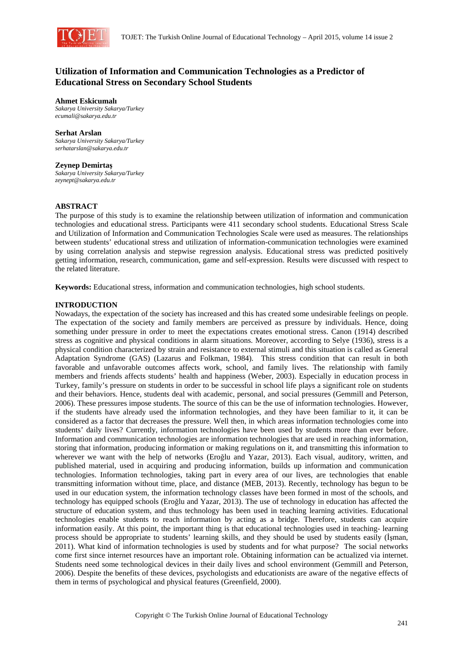

# **Utilization of Information and Communication Technologies as a Predictor of Educational Stress on Secondary School Students**

**Ahmet Eskicumalı** *Sakarya University Sakarya/Turkey ecumali@sakarya.edu.tr* 

**Serhat Arslan**  *Sakarya University Sakarya/Turkey serhatarslan@sakarya.edu.tr* 

#### **Zeynep Demirtaş**

*Sakarya University Sakarya/Turkey zeynept@sakarya.edu.tr* 

### **ABSTRACT**

The purpose of this study is to examine the relationship between utilization of information and communication technologies and educational stress. Participants were 411 secondary school students. Educational Stress Scale and Utilization of Information and Communication Technologies Scale were used as measures. The relationships between students' educational stress and utilization of information-communication technologies were examined by using correlation analysis and stepwise regression analysis. Educational stress was predicted positively getting information, research, communication, game and self-expression. Results were discussed with respect to the related literature.

**Keywords:** Educational stress, information and communication technologies, high school students.

## **INTRODUCTION**

Nowadays, the expectation of the society has increased and this has created some undesirable feelings on people. The expectation of the society and family members are perceived as pressure by individuals. Hence, doing something under pressure in order to meet the expectations creates emotional stress. Canon (1914) described stress as cognitive and physical conditions in alarm situations. Moreover, according to Selye (1936), stress is a physical condition characterized by strain and resistance to external stimuli and this situation is called as General Adaptation Syndrome (GAS) (Lazarus and Folkman, 1984). This stress condition that can result in both favorable and unfavorable outcomes affects work, school, and family lives. The relationship with family members and friends affects students' health and happiness (Weber, 2003). Especially in education process in Turkey, family's pressure on students in order to be successful in school life plays a significant role on students and their behaviors. Hence, students deal with academic, personal, and social pressures (Gemmill and Peterson, 2006). These pressures impose students. The source of this can be the use of information technologies. However, if the students have already used the information technologies, and they have been familiar to it, it can be considered as a factor that decreases the pressure. Well then, in which areas information technologies come into students' daily lives? Currently, information technologies have been used by students more than ever before. Information and communication technologies are information technologies that are used in reaching information, storing that information, producing information or making regulations on it, and transmitting this information to wherever we want with the help of networks (Eroğlu and Yazar, 2013). Each visual, auditory, written, and published material, used in acquiring and producing information, builds up information and communication technologies. Information technologies, taking part in every area of our lives, are technologies that enable transmitting information without time, place, and distance (MEB, 2013). Recently, technology has begun to be used in our education system, the information technology classes have been formed in most of the schools, and technology has equipped schools (Eroğlu and Yazar, 2013). The use of technology in education has affected the structure of education system, and thus technology has been used in teaching learning activities. Educational technologies enable students to reach information by acting as a bridge. Therefore, students can acquire information easily. At this point, the important thing is that educational technologies used in teaching- learning process should be appropriate to students' learning skills, and they should be used by students easily (İşman, 2011). What kind of information technologies is used by students and for what purpose? The social networks come first since internet resources have an important role. Obtaining information can be actualized via internet. Students need some technological devices in their daily lives and school environment (Gemmill and Peterson, 2006). Despite the benefits of these devices, psychologists and educationists are aware of the negative effects of them in terms of psychological and physical features (Greenfield, 2000).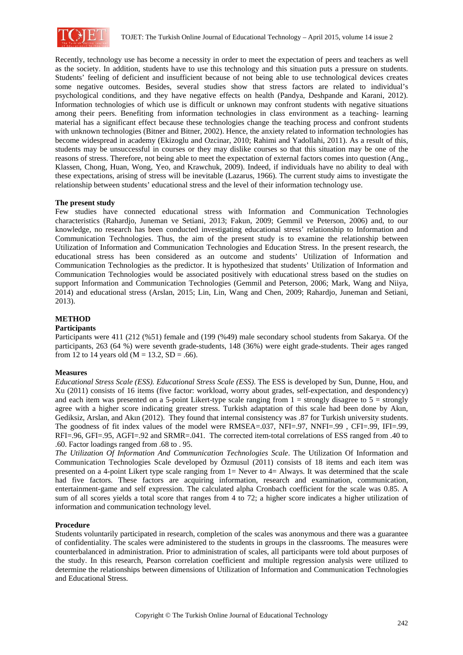

Recently, technology use has become a necessity in order to meet the expectation of peers and teachers as well as the society. In addition, students have to use this technology and this situation puts a pressure on students. Students' feeling of deficient and insufficient because of not being able to use technological devices creates some negative outcomes. Besides, several studies show that stress factors are related to individual's psychological conditions, and they have negative effects on health (Pandya, Deshpande and Karani, 2012). Information technologies of which use is difficult or unknown may confront students with negative situations among their peers. Benefiting from information technologies in class environment as a teaching- learning material has a significant effect because these technologies change the teaching process and confront students with unknown technologies (Bitner and Bitner, 2002). Hence, the anxiety related to information technologies has become widespread in academy (Ekizoglu and Ozcinar, 2010; Rahimi and Yadollahi, 2011). As a result of this, students may be unsuccessful in courses or they may dislike courses so that this situation may be one of the reasons of stress. Therefore, not being able to meet the expectation of external factors comes into question (Ang., Klassen, Chong, Huan, Wong, Yeo, and Krawchuk, 2009). Indeed, if individuals have no ability to deal with these expectations, arising of stress will be inevitable (Lazarus, 1966). The current study aims to investigate the relationship between students' educational stress and the level of their information technology use.

#### **The present study**

Few studies have connected educational stress with Information and Communication Technologies characteristics (Rahardjo, Juneman ve Setiani, 2013; Fakun, 2009; Gemmil ve Peterson, 2006) and, to our knowledge, no research has been conducted investigating educational stress' relationship to Information and Communication Technologies. Thus, the aim of the present study is to examine the relationship between Utilization of Information and Communication Technologies and Education Stress. In the present research, the educational stress has been considered as an outcome and students' Utilization of Information and Communication Technologies as the predictor. It is hypothesized that students' Utilization of Information and Communication Technologies would be associated positively with educational stress based on the studies on support Information and Communication Technologies (Gemmil and Peterson, 2006; Mark, Wang and Niiya, 2014) and educational stress (Arslan, 2015; Lin, Lin, Wang and Chen, 2009; Rahardjo, Juneman and Setiani, 2013).

## **METHOD**

# **Participants**

Participants were 411 (212 (%51) female and (199 (%49) male secondary school students from Sakarya. Of the participants, 263 (64 %) were seventh grade-students, 148 (36%) were eight grade-students. Their ages ranged from 12 to 14 years old  $(M = 13.2, SD = .66)$ .

#### **Measures**

*Educational Stress Scale (ESS). Educational Stress Scale (ESS)*. The ESS is developed by Sun, Dunne, Hou, and Xu (2011) consists of 16 items (five factor: workload, worry about grades, self-expectation, and despondency) and each item was presented on a 5-point Likert-type scale ranging from  $1 =$  strongly disagree to  $5 =$  strongly agree with a higher score indicating greater stress. Turkish adaptation of this scale had been done by Akın, Gediksiz, Arslan, and Akın (2012). They found that internal consistency was .87 for Turkish university students. The goodness of fit index values of the model were RMSEA=.037, NFI=.97, NNFI=.99 , CFI=.99, IFI=.99, RFI=.96, GFI=.95, AGFI=.92 and SRMR=.041. The corrected item-total correlations of ESS ranged from .40 to .60. Factor loadings ranged from .68 to . 95.

*The Utilization Of Information And Communication Technologies Scale*. The Utilization Of Information and Communication Technologies Scale developed by Özmusul (2011) consists of 18 items and each item was presented on a 4-point Likert type scale ranging from 1= Never to 4= Always. It was determined that the scale had five factors. These factors are acquiring information, research and examination, communication, entertainment-game and self expression. The calculated alpha Cronbach coefficient for the scale was 0.85. A sum of all scores yields a total score that ranges from 4 to 72; a higher score indicates a higher utilization of information and communication technology level.

#### **Procedure**

Students voluntarily participated in research, completion of the scales was anonymous and there was a guarantee of confidentiality. The scales were administered to the students in groups in the classrooms. The measures were counterbalanced in administration. Prior to administration of scales, all participants were told about purposes of the study. In this research, Pearson correlation coefficient and multiple regression analysis were utilized to determine the relationships between dimensions of Utilization of Information and Communication Technologies and Educational Stress.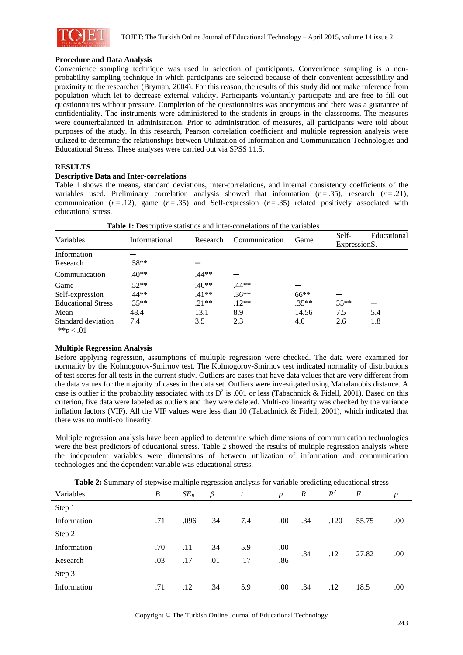

### **Procedure and Data Analysis**

Convenience sampling technique was used in selection of participants. Convenience sampling is a nonprobability sampling technique in which participants are selected because of their convenient accessibility and proximity to the researcher (Bryman, 2004). For this reason, the results of this study did not make inference from population which let to decrease external validity. Participants voluntarily participate and are free to fill out questionnaires without pressure. Completion of the questionnaires was anonymous and there was a guarantee of confidentiality. The instruments were administered to the students in groups in the classrooms. The measures were counterbalanced in administration. Prior to administration of measures, all participants were told about purposes of the study. In this research, Pearson correlation coefficient and multiple regression analysis were utilized to determine the relationships between Utilization of Information and Communication Technologies and Educational Stress. These analyses were carried out via SPSS 11.5.

# **RESULTS**

#### **Descriptive Data and Inter-correlations**

Table 1 shows the means, standard deviations, inter-correlations, and internal consistency coefficients of the variables used. Preliminary correlation analysis showed that information  $(r = .35)$ , research  $(r = .21)$ , communication  $(r = .12)$ , game  $(r = .35)$  and Self-expression  $(r = .35)$  related positively associated with educational stress.

| Variables                 | Informational | Research | Communication |         | Self-        | Educational |
|---------------------------|---------------|----------|---------------|---------|--------------|-------------|
|                           |               |          |               | Game    | ExpressionS. |             |
| Information               |               |          |               |         |              |             |
| Research                  | $.58**$       |          |               |         |              |             |
| Communication             | $.40**$       | .44**    |               |         |              |             |
| Game                      | $.52**$       | $.40**$  | .44**         |         |              |             |
| Self-expression           | $.44**$       | $.41**$  | $.36**$       | $66**$  |              |             |
| <b>Educational Stress</b> | $.35**$       | $.21**$  | $.12**$       | $.35**$ | $35**$       |             |
| Mean                      | 48.4          | 13.1     | 8.9           | 14.56   | 7.5          | 5.4         |
| Standard deviation        | 7.4           | 3.5      | 2.3           | 4.0     | 2.6          | 1.8         |

**Table 1:** Descriptive statistics and inter-correlations of the variables

\*\**p* < .01

# **Multiple Regression Analysis**

Before applying regression, assumptions of multiple regression were checked. The data were examined for normality by the Kolmogorov-Smirnov test. The Kolmogorov-Smirnov test indicated normality of distributions of test scores for all tests in the current study. Outliers are cases that have data values that are very different from the data values for the majority of cases in the data set. Outliers were investigated using Mahalanobis distance. A case is outlier if the probability associated with its  $D^2$  is .001 or less (Tabachnick & Fidell, 2001). Based on this criterion, five data were labeled as outliers and they were deleted. Multi-collinearity was checked by the variance inflation factors (VIF). All the VIF values were less than 10 (Tabachnick & Fidell, 2001), which indicated that there was no multi-collinearity.

Multiple regression analysis have been applied to determine which dimensions of communication technologies were the best predictors of educational stress. Table 2 showed the results of multiple regression analysis where the independent variables were dimensions of between utilization of information and communication technologies and the dependent variable was educational stress.

| Variables   | $\boldsymbol{B}$ | $SE_B$ | $\beta$ | t   | $\boldsymbol{p}$ | $\boldsymbol{R}$ | $R^2$ | $\boldsymbol{F}$ | $\boldsymbol{p}$ |
|-------------|------------------|--------|---------|-----|------------------|------------------|-------|------------------|------------------|
| Step 1      |                  |        |         |     |                  |                  |       |                  |                  |
| Information | .71              | .096   | .34     | 7.4 | .00.             | .34              | .120  | 55.75            | .00              |
| Step 2      |                  |        |         |     |                  |                  |       |                  |                  |
| Information | .70              | .11    | .34     | 5.9 | .00.             |                  |       |                  |                  |
| Research    | .03              | .17    | .01     | .17 | .86              | .34              | .12   | 27.82            | .00.             |
| Step 3      |                  |        |         |     |                  |                  |       |                  |                  |
| Information | .71              | .12    | .34     | 5.9 | .00.             | .34              | .12   | 18.5             | .00              |

**Table 2:** Summary of stepwise multiple regression analysis for variable predicting educational stress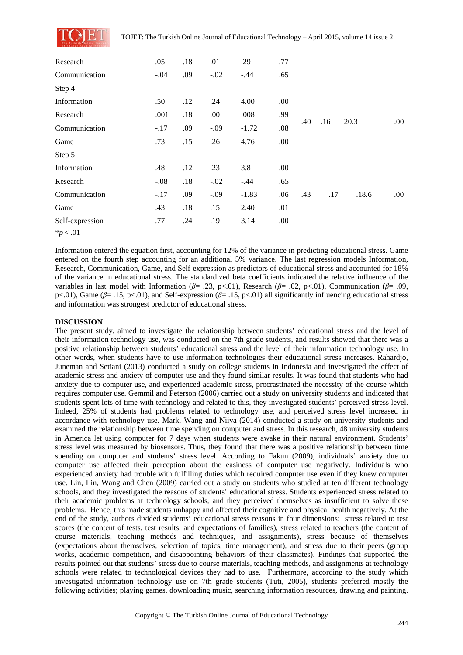

| Research        | .05    | .18 | .01    | .29     | .77  |     |     |       |      |
|-----------------|--------|-----|--------|---------|------|-----|-----|-------|------|
| Communication   | $-.04$ | .09 | $-.02$ | $-.44$  | .65  |     |     |       |      |
| Step 4          |        |     |        |         |      |     |     |       |      |
| Information     | .50    | .12 | .24    | 4.00    | .00. |     |     |       |      |
| Research        | .001   | .18 | .00    | .008    | .99  |     |     | 20.3  | .00. |
| Communication   | $-.17$ | .09 | $-.09$ | $-1.72$ | .08  | .40 | .16 |       |      |
| Game            | .73    | .15 | .26    | 4.76    | .00  |     |     |       |      |
| Step 5          |        |     |        |         |      |     |     |       |      |
| Information     | .48    | .12 | .23    | 3.8     | .00  |     |     |       |      |
| Research        | $-.08$ | .18 | $-.02$ | $-.44$  | .65  |     |     |       |      |
| Communication   | $-.17$ | .09 | $-.09$ | $-1.83$ | .06  | .43 | .17 | .18.6 | .00  |
| Game            | .43    | .18 | .15    | 2.40    | .01  |     |     |       |      |
| Self-expression | .77    | .24 | .19    | 3.14    | .00. |     |     |       |      |

 $\bar{p}$   $< 0.01$ 

Information entered the equation first, accounting for 12% of the variance in predicting educational stress. Game entered on the fourth step accounting for an additional 5% variance. The last regression models Information, Research, Communication, Game, and Self-expression as predictors of educational stress and accounted for 18% of the variance in educational stress. The standardized beta coefficients indicated the relative influence of the variables in last model with Information (*β*= .23, p<.01), Research (*β*= .02, p<.01), Communication (*β*= .09, p<.01), Game (*β*= .15, p<.01), and Self-expression (*β*= .15, p<.01) all significantly influencing educational stress and information was strongest predictor of educational stress.

# **DISCUSSION**

The present study, aimed to investigate the relationship between students' educational stress and the level of their information technology use, was conducted on the 7th grade students, and results showed that there was a positive relationship between students' educational stress and the level of their information technology use. In other words, when students have to use information technologies their educational stress increases. Rahardjo, Juneman and Setiani (2013) conducted a study on college students in Indonesia and investigated the effect of academic stress and anxiety of computer use and they found similar results. It was found that students who had anxiety due to computer use, and experienced academic stress, procrastinated the necessity of the course which requires computer use. Gemmil and Peterson (2006) carried out a study on university students and indicated that students spent lots of time with technology and related to this, they investigated students' perceived stress level. Indeed, 25% of students had problems related to technology use, and perceived stress level increased in accordance with technology use. Mark, Wang and Niiya (2014) conducted a study on university students and examined the relationship between time spending on computer and stress. In this research, 48 university students in America let using computer for 7 days when students were awake in their natural environment. Students' stress level was measured by biosensors. Thus, they found that there was a positive relationship between time spending on computer and students' stress level. According to Fakun (2009), individuals' anxiety due to computer use affected their perception about the easiness of computer use negatively. Individuals who experienced anxiety had trouble with fulfilling duties which required computer use even if they knew computer use. Lin, Lin, Wang and Chen (2009) carried out a study on students who studied at ten different technology schools, and they investigated the reasons of students' educational stress. Students experienced stress related to their academic problems at technology schools, and they perceived themselves as insufficient to solve these problems. Hence, this made students unhappy and affected their cognitive and physical health negatively. At the end of the study, authors divided students' educational stress reasons in four dimensions: stress related to test scores (the content of tests, test results, and expectations of families), stress related to teachers (the content of course materials, teaching methods and techniques, and assignments), stress because of themselves (expectations about themselves, selection of topics, time management), and stress due to their peers (group works, academic competition, and disappointing behaviors of their classmates). Findings that supported the results pointed out that students' stress due to course materials, teaching methods, and assignments at technology schools were related to technological devices they had to use. Furthermore, according to the study which investigated information technology use on 7th grade students (Tuti, 2005), students preferred mostly the following activities; playing games, downloading music, searching information resources, drawing and painting.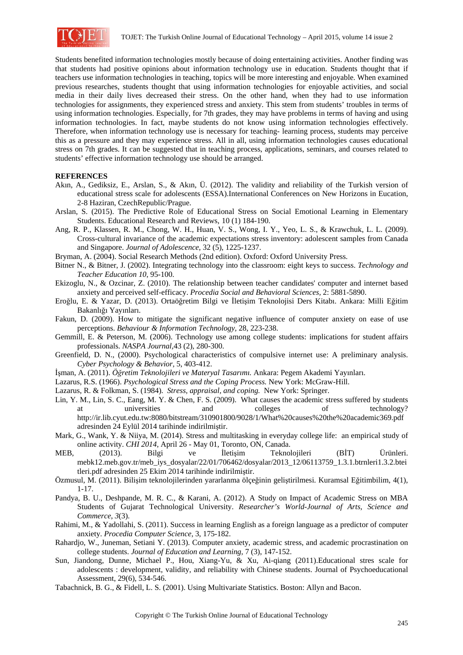

Students benefited information technologies mostly because of doing entertaining activities. Another finding was that students had positive opinions about information technology use in education. Students thought that if teachers use information technologies in teaching, topics will be more interesting and enjoyable. When examined previous researches, students thought that using information technologies for enjoyable activities, and social media in their daily lives decreased their stress. On the other hand, when they had to use information technologies for assignments, they experienced stress and anxiety. This stem from students' troubles in terms of using information technologies. Especially, for 7th grades, they may have problems in terms of having and using information technologies. In fact, maybe students do not know using information technologies effectively. Therefore, when information technology use is necessary for teaching- learning process, students may perceive this as a pressure and they may experience stress. All in all, using information technologies causes educational stress on 7th grades. It can be suggested that in teaching process, applications, seminars, and courses related to students' effective information technology use should be arranged.

### **REFERENCES**

- Akın, A., Gediksiz, E., Arslan, S., & Akın, Ü. (2012). The validity and reliability of the Turkish version of educational stress scale for adolescents (ESSA).International Conferences on New Horizons in Eucation, 2-8 Haziran, CzechRepublic/Prague.
- Arslan, S. (2015). The Predictive Role of Educational Stress on Social Emotional Learning in Elementary Students. Educational Research and Reviews, 10 (1) 184-190.
- Ang, R. P., Klassen, R. M., Chong, W. H., Huan, V. S., Wong, I. Y., Yeo, L. S., & Krawchuk, L. L. (2009). Cross-cultural invariance of the academic expectations stress inventory: adolescent samples from Canada and Singapore. *Journal of Adolescence*, 32 (5), 1225-1237.
- Bryman, A. (2004). Social Research Methods (2nd edition). Oxford: Oxford University Press.
- Bitner N., & Bitner, J. (2002). Integrating technology into the classroom: eight keys to success. *Technology and Teacher Education 10*, 95-100.
- Ekizoglu, N., & Ozcinar, Z. (2010). The relationship between teacher candidates' computer and internet based anxiety and perceived self-efficacy. *Procedia Social and Behavioral Sciences,* 2: 5881-5890.
- Eroğlu, E. & Yazar, D. (2013). Ortaöğretim Bilgi ve İletişim Teknolojisi Ders Kitabı. Ankara: Milli Eğitim Bakanlığı Yayınları.
- Fakun, D. (2009). How to mitigate the significant negative influence of computer anxiety on ease of use perceptions. *Behaviour & Information Technology,* 28, 223-238.
- Gemmill, E. & Peterson, M. (2006). Technology use among college students: implications for student affairs professionals. *NASPA Journal,*43 (2), 280-300.
- Greenfield, D. N., (2000). Psychological characteristics of compulsive internet use: A preliminary analysis. *Cyber Psychology & Behavior,* 5, 403-412.
- İşman, A. (2011). *Öğretim Teknolojileri ve Materyal Tasarımı.* Ankara: Pegem Akademi Yayınları.
- Lazarus, R.S. (1966). *Psychological Stress and the Coping Process.* New York: McGraw-Hill.
- Lazarus, R. & Folkman, S. (1984). *Stress, appraisal, and coping.* New York: Springer.
- Lin, Y. M., Lin, S. C., Eang, M. Y. & Chen, F. S. (2009). What causes the academic stress suffered by students at universities and colleges of technology? http://ir.lib.cyut.edu.tw:8080/bitstream/310901800/9028/1/What%20causes%20the%20academic369.pdf adresinden 24 Eylül 2014 tarihinde indirilmiştir.
- Mark, G., Wank, Y. & Niiya, M. (2014). Stress and multitasking in everyday college life: an empirical study of online activity. *CHI 2014,* April 26 - May 01, Toronto, ON, Canada.
- MEB, (2013). Bilgi ve İletişim Teknolojileri (BİT) Ürünleri. mebk12.meb.gov.tr/meb\_iys\_dosyalar/22/01/706462/dosyalar/2013\_12/06113759\_1.3.1.btrnleri1.3.2.btei tleri.pdf adresinden 25 Ekim 2014 tarihinde indirilmiştir.
- Özmusul, M. (2011). Bilişim teknolojilerinden yararlanma ölçeğinin geliştirilmesi. Kuramsal Eğitimbilim, 4(1), 1-17.
- Pandya, B. U., Deshpande, M. R. C., & Karani, A. (2012). A Study on Impact of Academic Stress on MBA Students of Gujarat Technological University. *Researcher's World-Journal of Arts, Science and Commerce*, *3*(3).
- Rahimi, M., & Yadollahi, S. (2011). Success in learning English as a foreign language as a predictor of computer anxiety. *Procedia Computer Science,* 3, 175-182.
- Rahardjo, W., Juneman, Setiani Y. (2013). Computer anxiety, academic stress, and academic procrastination on college students. *Journal of Education and Learning,* 7 (3), 147-152.
- Sun, Jiandong, Dunne, Michael P., Hou, Xiang-Yu, & Xu, Ai-qiang (2011).Educational stres scale for adolescents : development, validity, and reliability with Chinese students. Journal of Psychoeducational Assessment, 29(6), 534-546.
- Tabachnick, B. G., & Fidell, L. S. (2001). Using Multivariate Statistics. Boston: Allyn and Bacon.